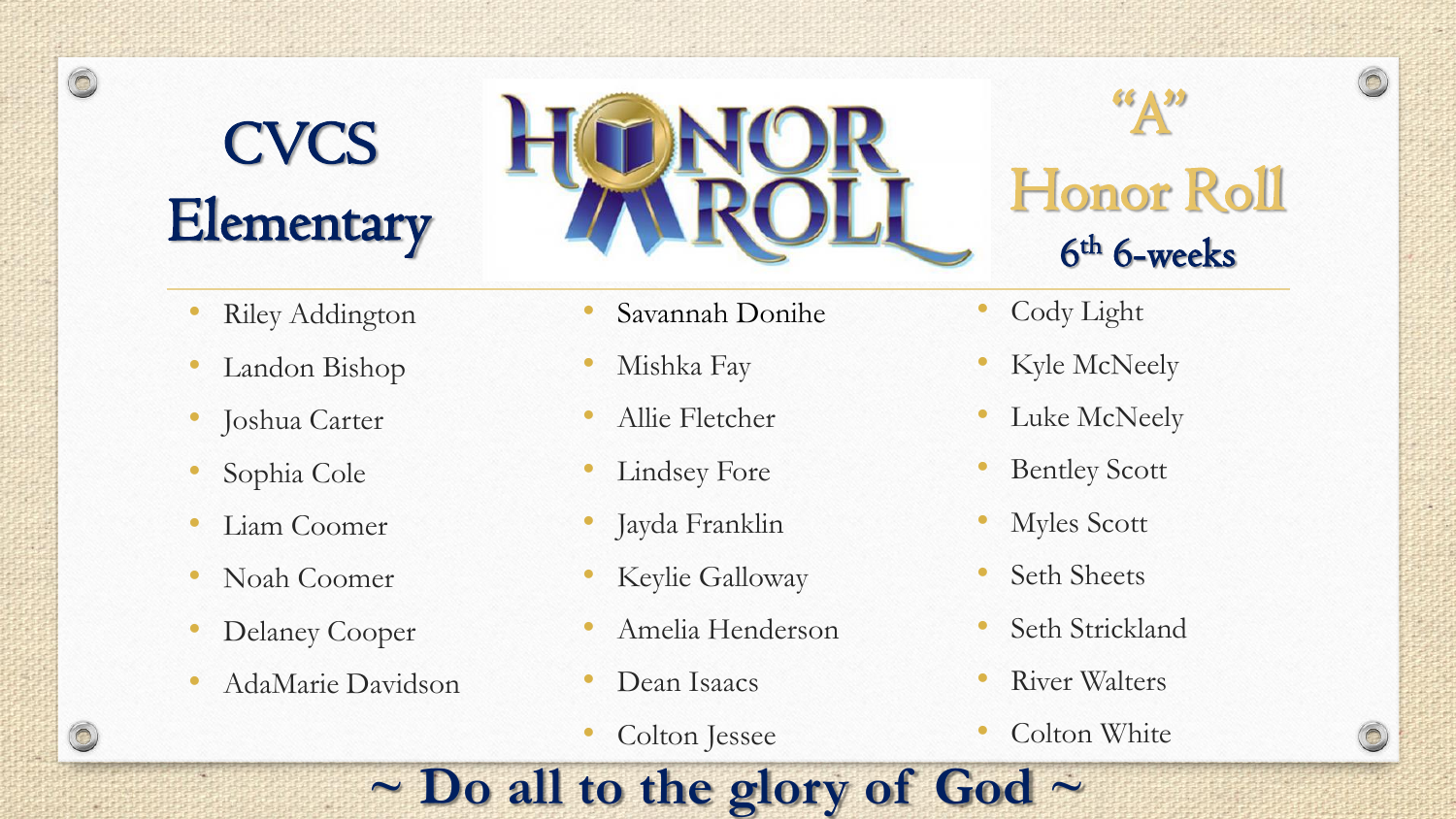# **CVCS Elementary**

 $\circledcirc$ 

- **Riley Addington**
- Landon Bishop
- Joshua Carter
- Sophia Cole
- Liam Coomer
- Noah Coomer
- Delaney Cooper
- AdaMarie Davidson
- Savannah Donihe
	- Mishka Fay
	- Allie Fletcher
	- Lindsey Fore
	- Jayda Franklin
	- Keylie Galloway
	- Amelia Henderson

**~ Do all to the glory of God ~**

- Dean Isaacs
- Colton Jessee

## $\mathbf{R}^{(s)}$ Honor Roll 6 th 6-weeks

 $\odot$ 

- Cody Light
- Kyle McNeely
- Luke McNeely
- **Bentley Scott**
- Myles Scott
- Seth Sheets
- Seth Strickland
- River Walters
- Colton White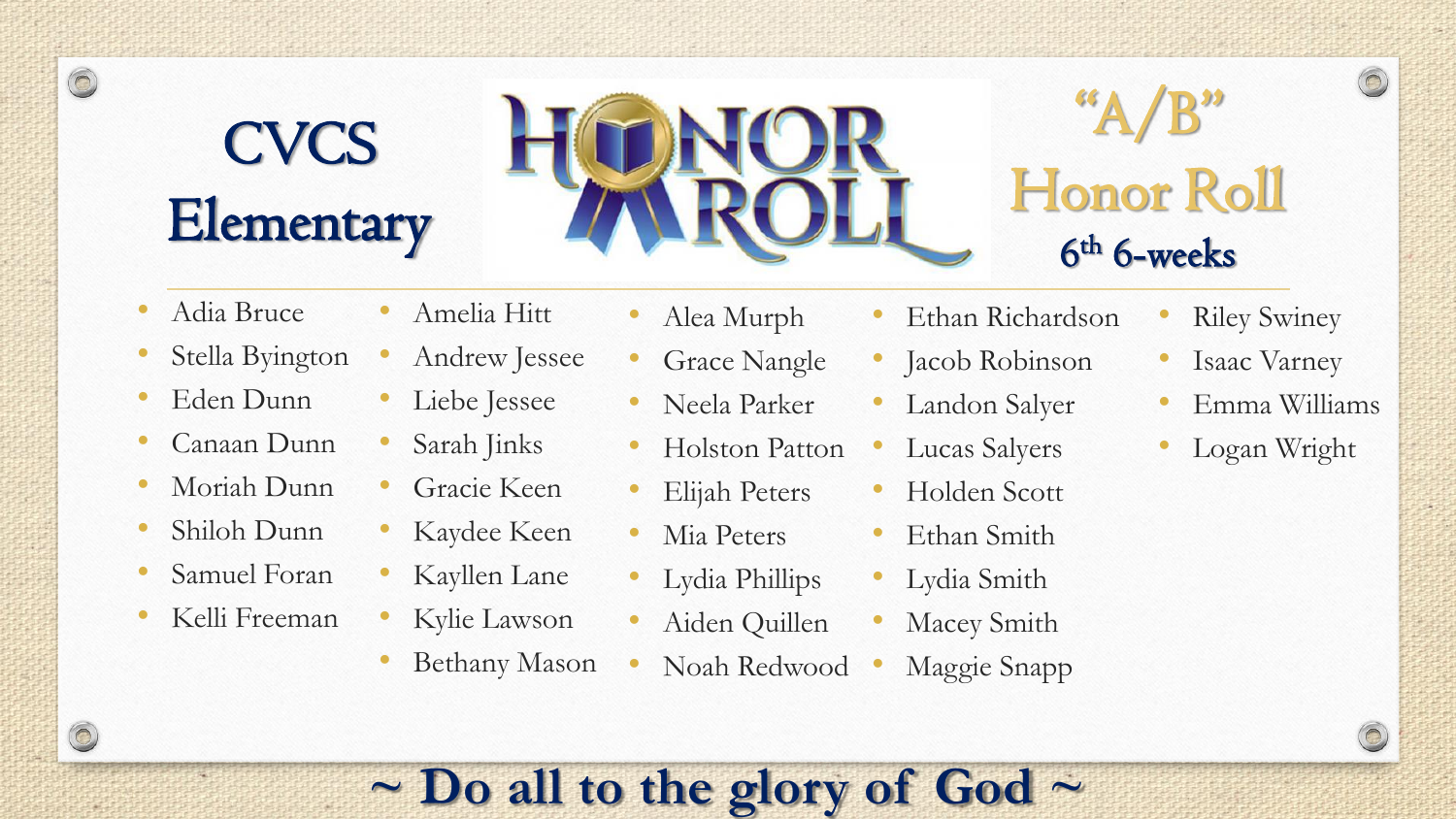## **CVCS Elementary**



## $A/B$ " Honor Roll 6 th 6-weeks

• Adia Bruce

 $\circledcirc$ 

 $\circledcirc$ 

- Stella Byington
- Eden Dunn
- Canaan Dunn
- Moriah Dunn
- Shiloh Dunn
- Samuel Foran
- Kelli Freeman

• Alea Murph

• Amelia Hitt

• Liebe Jessee

• Sarah Jinks

Gracie Keen

Kaydee Keen

Kayllen Lane

Kylie Lawson

• Andrew Jessee

- Grace Nangle
- Neela Parker
- Holston Patton
- Elijah Peters
- Mia Peters
- Lydia Phillips
- Aiden Quillen
- Bethany Mason • Noah Redwood
- Ethan Richardson
- Jacob Robinson
- Landon Salyer
- Lucas Salyers
- Holden Scott
- Ethan Smith
- Lydia Smith
- Macey Smith
- Maggie Snapp
- **Riley Swiney**
- Isaac Varney
- Emma Williams
- Logan Wright

#### **~ Do all to the glory of God ~**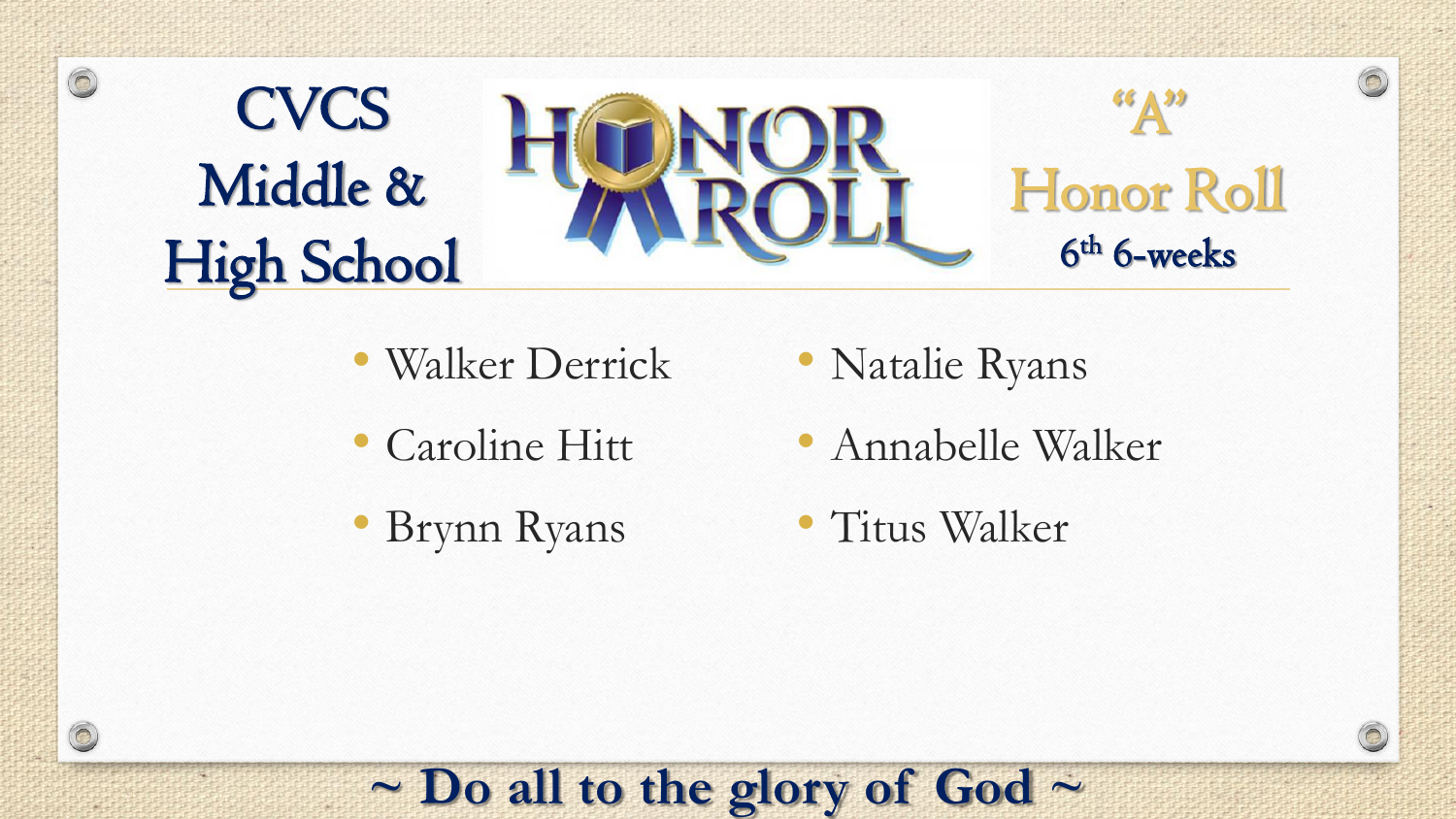

- Walker Derrick
- Caroline Hitt
- Brynn Ryans

 $\circledcirc$ 

- Natalie Ryans
- Annabelle Walker
- Titus Walker

#### **~ Do all to the glory of God ~**